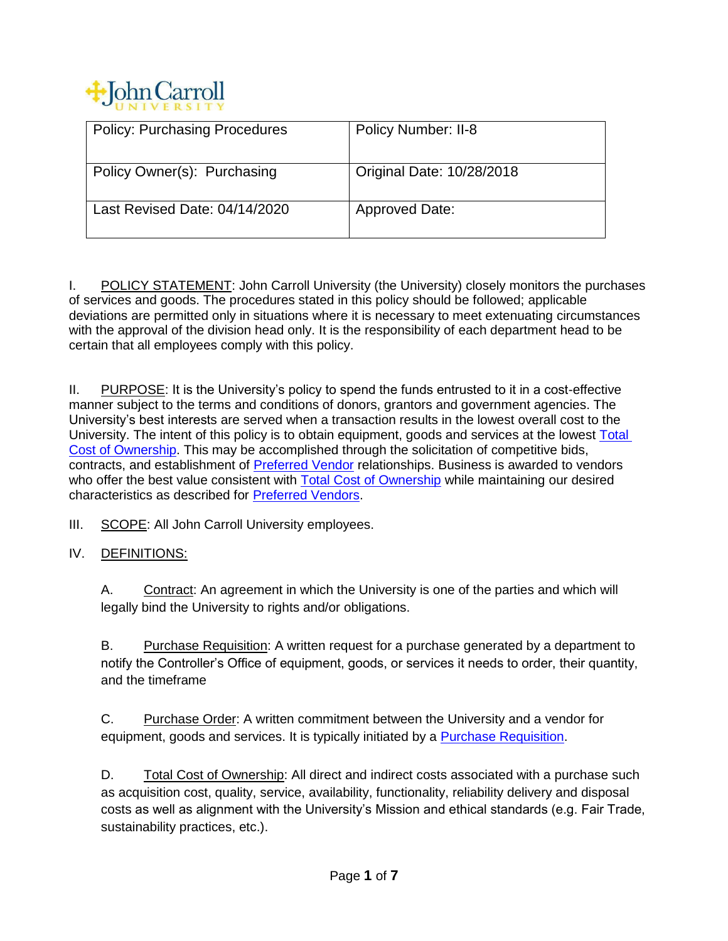

| <b>Policy: Purchasing Procedures</b> | <b>Policy Number: II-8</b> |
|--------------------------------------|----------------------------|
|                                      |                            |
|                                      |                            |
|                                      |                            |
|                                      |                            |
| Policy Owner(s): Purchasing          | Original Date: 10/28/2018  |
|                                      |                            |
|                                      |                            |
|                                      |                            |
| Last Revised Date: 04/14/2020        | <b>Approved Date:</b>      |
|                                      |                            |
|                                      |                            |
|                                      |                            |

I. POLICY STATEMENT: John Carroll University (the University) closely monitors the purchases of services and goods. The procedures stated in this policy should be followed; applicable deviations are permitted only in situations where it is necessary to meet extenuating circumstances with the approval of the division head only. It is the responsibility of each department head to be certain that all employees comply with this policy.

II. PURPOSE: It is the University's policy to spend the funds entrusted to it in a cost-effective manner subject to the terms and conditions of donors, grantors and government agencies. The University's best interests are served when a transaction results in the lowest overall cost to the University. The intent of this policy is to obtain equipment, goods and services at the lowest [Total](#page-0-0)  [Cost of Ownership.](#page-0-0) This may be accomplished through the solicitation of competitive bids, contracts, and establishment of [Preferred Vendor](#page-1-0) relationships. Business is awarded to vendors who offer the best value consistent with [Total Cost of Ownership](#page-0-0) while maintaining our desired characteristics as described for [Preferred Vendors.](#page-1-0)

III. SCOPE: All John Carroll University employees.

<span id="page-0-2"></span>IV. DEFINITIONS:

A. Contract: An agreement in which the University is one of the parties and which will legally bind the University to rights and/or obligations.

<span id="page-0-1"></span>B. Purchase Requisition: A written request for a purchase generated by a department to notify the Controller's Office of equipment, goods, or services it needs to order, their quantity, and the timeframe

<span id="page-0-3"></span>C. Purchase Order: A written commitment between the University and a vendor for equipment, goods and services. It is typically initiated by a [Purchase Requisition.](#page-0-1)

<span id="page-0-0"></span>D. Total Cost of Ownership: All direct and indirect costs associated with a purchase such as acquisition cost, quality, service, availability, functionality, reliability delivery and disposal costs as well as alignment with the University's Mission and ethical standards (e.g. Fair Trade, sustainability practices, etc.).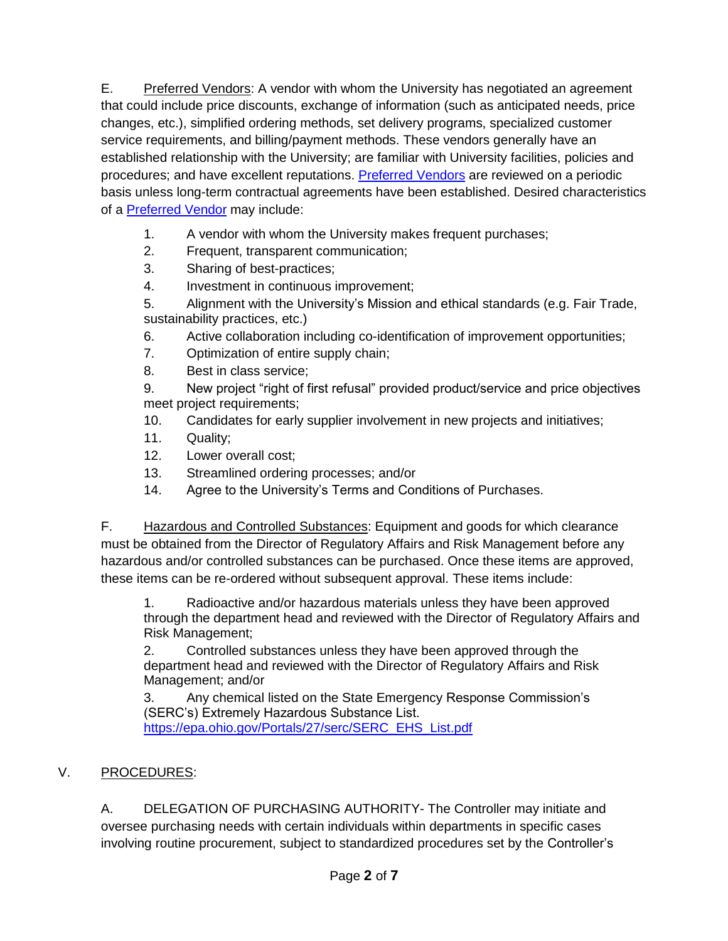<span id="page-1-0"></span>E. Preferred Vendors: A vendor with whom the University has negotiated an agreement that could include price discounts, exchange of information (such as anticipated needs, price changes, etc.), simplified ordering methods, set delivery programs, specialized customer service requirements, and billing/payment methods. These vendors generally have an established relationship with the University; are familiar with University facilities, policies and procedures; and have excellent reputations. [Preferred Vendors](#page-1-0) are reviewed on a periodic basis unless long-term contractual agreements have been established. Desired characteristics of a [Preferred Vendor](#page-1-0) may include:

- 1. A vendor with whom the University makes frequent purchases;
- 2. Frequent, transparent communication;
- 3. Sharing of best-practices;
- 4. Investment in continuous improvement;

5. Alignment with the University's Mission and ethical standards (e.g. Fair Trade, sustainability practices, etc.)

- 6. Active collaboration including co-identification of improvement opportunities;
- 7. Optimization of entire supply chain;
- 8. Best in class service;

9. New project "right of first refusal" provided product/service and price objectives meet project requirements;

- 10. Candidates for early supplier involvement in new projects and initiatives;
- 11. Quality;
- 12. Lower overall cost;
- 13. Streamlined ordering processes; and/or
- 14. Agree to the University's Terms and Conditions of Purchases.

<span id="page-1-1"></span>F. Hazardous and Controlled Substances: Equipment and goods for which clearance must be obtained from the Director of Regulatory Affairs and Risk Management before any hazardous and/or controlled substances can be purchased. Once these items are approved, these items can be re-ordered without subsequent approval. These items include:

1. Radioactive and/or hazardous materials unless they have been approved through the department head and reviewed with the Director of Regulatory Affairs and Risk Management;

2. Controlled substances unless they have been approved through the department head and reviewed with the Director of Regulatory Affairs and Risk Management; and/or

3. Any chemical listed on the State Emergency Response Commission's (SERC's) Extremely Hazardous Substance List. [https://epa.ohio.gov/Portals/27/serc/SERC\\_EHS\\_List.pdf](https://epa.ohio.gov/Portals/27/serc/SERC_EHS_List.pdf)

# V. PROCEDURES:

A. DELEGATION OF PURCHASING AUTHORITY- The Controller may initiate and oversee purchasing needs with certain individuals within departments in specific cases involving routine procurement, subject to standardized procedures set by the Controller's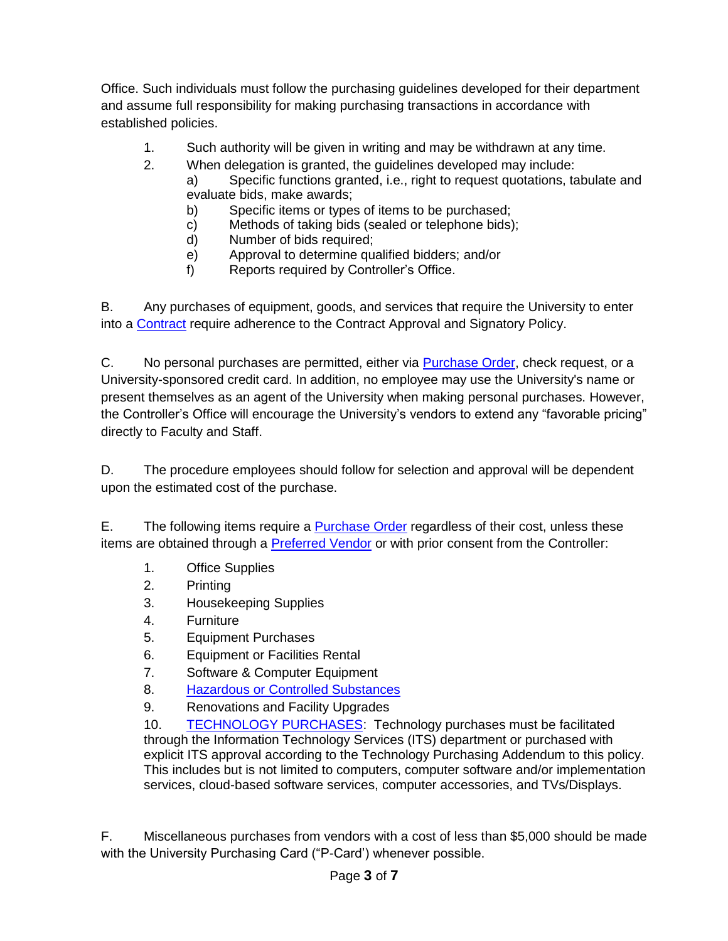Office. Such individuals must follow the purchasing guidelines developed for their department and assume full responsibility for making purchasing transactions in accordance with established policies.

- 1. Such authority will be given in writing and may be withdrawn at any time.
- 2. When delegation is granted, the guidelines developed may include:
	- a) Specific functions granted, i.e., right to request quotations, tabulate and evaluate bids, make awards;
	- b) Specific items or types of items to be purchased;
	- c) Methods of taking bids (sealed or telephone bids);
	- d) Number of bids required;
	- e) Approval to determine qualified bidders; and/or
	- f) Reports required by Controller's Office.

B. Any purchases of equipment, goods, and services that require the University to enter into a [Contract](#page-0-2) require adherence to the Contract Approval and Signatory Policy.

C. No personal purchases are permitted, either via [Purchase Order,](#page-0-3) check request, or a University-sponsored credit card. In addition, no employee may use the University's name or present themselves as an agent of the University when making personal purchases. However, the Controller's Office will encourage the University's vendors to extend any "favorable pricing" directly to Faculty and Staff.

D. The procedure employees should follow for selection and approval will be dependent upon the estimated cost of the purchase.

E. The following items require a [Purchase Order](#page-0-3) regardless of their cost, unless these items are obtained through a [Preferred Vendor](#page-1-0) or with prior consent from the Controller:

- 1. Office Supplies
- 2. Printing
- 3. Housekeeping Supplies
- 4. Furniture
- 5. Equipment Purchases
- 6. Equipment or Facilities Rental
- 7. Software & Computer Equipment
- 8. [Hazardous or Controlled Substances](#page-1-1)
- 9. Renovations and Facility Upgrades

10. [TECHNOLOGY PURCHASES:](#page-7-0) Technology purchases must be facilitated through the Information Technology Services (ITS) department or purchased with explicit ITS approval according to the Technology Purchasing Addendum to this policy. This includes but is not limited to computers, computer software and/or implementation services, cloud-based software services, computer accessories, and TVs/Displays.

F. Miscellaneous purchases from vendors with a cost of less than \$5,000 should be made with the University Purchasing Card ("P-Card') whenever possible.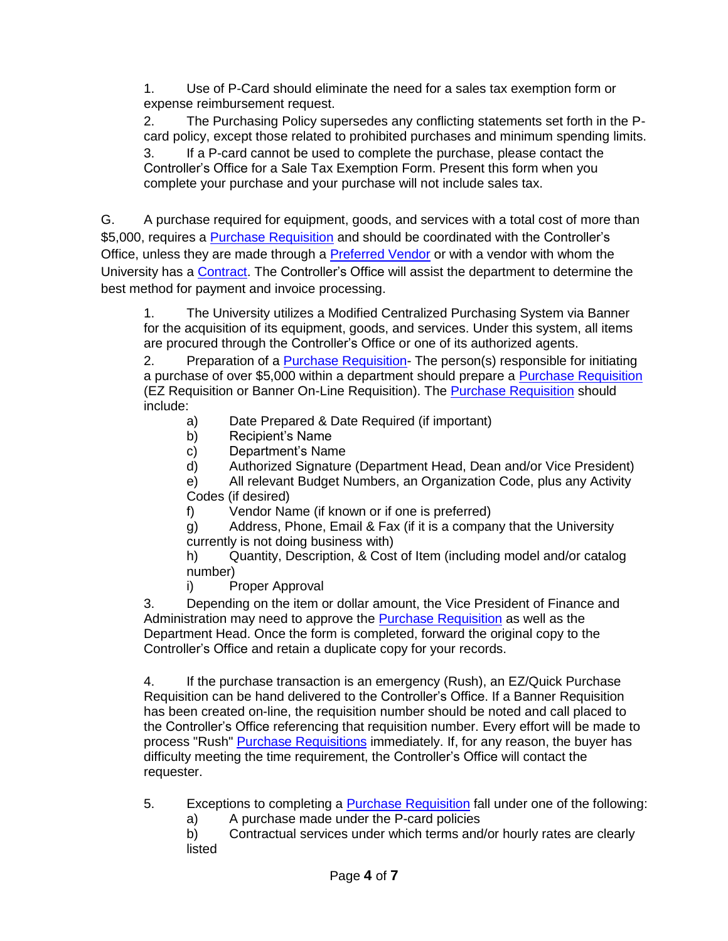1. Use of P-Card should eliminate the need for a sales tax exemption form or expense reimbursement request.

2. The Purchasing Policy supersedes any conflicting statements set forth in the Pcard policy, except those related to prohibited purchases and minimum spending limits. 3. If a P-card cannot be used to complete the purchase, please contact the Controller's Office for a Sale Tax Exemption Form. Present this form when you complete your purchase and your purchase will not include sales tax.

G. A purchase required for equipment, goods, and services with a total cost of more than \$5,000, requires a [Purchase Requisition](#page-0-1) and should be coordinated with the Controller's Office, unless they are made through a **Preferred Vendor** or with a vendor with whom the University has a [Contract.](#page-0-2) The Controller's Office will assist the department to determine the best method for payment and invoice processing.

1. The University utilizes a Modified Centralized Purchasing System via Banner for the acquisition of its equipment, goods, and services. Under this system, all items are procured through the Controller's Office or one of its authorized agents.

2. Preparation of a [Purchase Requisition-](#page-0-1) The person(s) responsible for initiating a purchase of over \$5,000 within a department should prepare a [Purchase Requisition](#page-0-1) (EZ Requisition or Banner On-Line Requisition). The [Purchase Requisition](#page-0-1) should include:

- a) Date Prepared & Date Required (if important)
- b) Recipient's Name
- c) Department's Name
- d) Authorized Signature (Department Head, Dean and/or Vice President)

e) All relevant Budget Numbers, an Organization Code, plus any Activity Codes (if desired)

- f) Vendor Name (if known or if one is preferred)
- g) Address, Phone, Email & Fax (if it is a company that the University currently is not doing business with)

h) Quantity, Description, & Cost of Item (including model and/or catalog number)

i) Proper Approval

3. Depending on the item or dollar amount, the Vice President of Finance and Administration may need to approve the [Purchase Requisition](#page-0-1) as well as the Department Head. Once the form is completed, forward the original copy to the Controller's Office and retain a duplicate copy for your records.

4. If the purchase transaction is an emergency (Rush), an EZ/Quick Purchase Requisition can be hand delivered to the Controller's Office. If a Banner Requisition has been created on-line, the requisition number should be noted and call placed to the Controller's Office referencing that requisition number. Every effort will be made to process "Rush" [Purchase Requisitions](#page-0-1) immediately. If, for any reason, the buyer has difficulty meeting the time requirement, the Controller's Office will contact the requester.

- 5. Exceptions to completing a **Purchase Requisition** fall under one of the following:
	- a) A purchase made under the P-card policies

b) Contractual services under which terms and/or hourly rates are clearly listed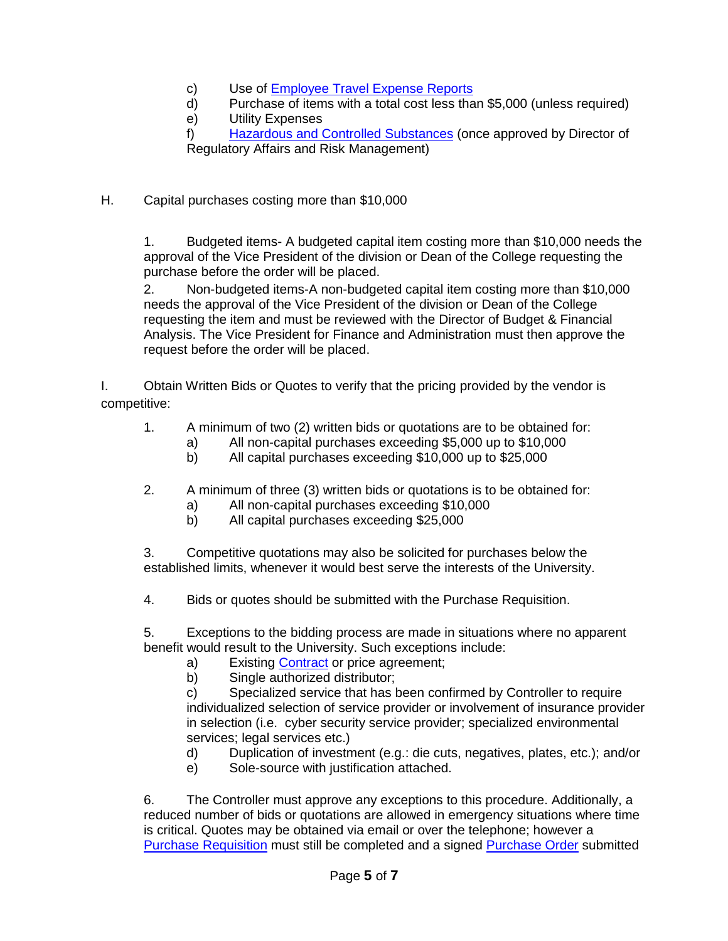- c) Use of [Employee Travel Expense Reports](https://www.google.com/url?client=internal-element-cse&cx=001889636105854551537:orktvixnra0&q=https://jcu.edu/sites/default/files/2020-02/2020_multi_voucher.xlsm&sa=U&ved=2ahUKEwj7y9aH24_vAhWfGFkFHfkVB4wQFjAAegQIARAB&usg=AOvVaw3-oWRBMcA0EFr7rdLbkg0a)
- d) Purchase of items with a total cost less than \$5,000 (unless required)<br>e) Utility Expenses
- Utility Expenses

f) [Hazardous and Controlled Substances](#page-1-1) (once approved by Director of Regulatory Affairs and Risk Management)

H. Capital purchases costing more than \$10,000

1. Budgeted items- A budgeted capital item costing more than \$10,000 needs the approval of the Vice President of the division or Dean of the College requesting the purchase before the order will be placed.

2. Non-budgeted items-A non-budgeted capital item costing more than \$10,000 needs the approval of the Vice President of the division or Dean of the College requesting the item and must be reviewed with the Director of Budget & Financial Analysis. The Vice President for Finance and Administration must then approve the request before the order will be placed.

I. Obtain Written Bids or Quotes to verify that the pricing provided by the vendor is competitive:

- 1. A minimum of two (2) written bids or quotations are to be obtained for:
	- a) All non-capital purchases exceeding \$5,000 up to \$10,000
	- b) All capital purchases exceeding \$10,000 up to \$25,000
- 2. A minimum of three (3) written bids or quotations is to be obtained for:
	- a) All non-capital purchases exceeding \$10,000
	- b) All capital purchases exceeding \$25,000

3. Competitive quotations may also be solicited for purchases below the established limits, whenever it would best serve the interests of the University.

4. Bids or quotes should be submitted with the Purchase Requisition.

5. Exceptions to the bidding process are made in situations where no apparent benefit would result to the University. Such exceptions include:

- a) Existing [Contract](#page-0-2) or price agreement;
	- b) Single authorized distributor;

c) Specialized service that has been confirmed by Controller to require individualized selection of service provider or involvement of insurance provider in selection (i.e. cyber security service provider; specialized environmental services; legal services etc.)

- d) Duplication of investment (e.g.: die cuts, negatives, plates, etc.); and/or
- e) Sole-source with justification attached.

6. The Controller must approve any exceptions to this procedure. Additionally, a reduced number of bids or quotations are allowed in emergency situations where time is critical. Quotes may be obtained via email or over the telephone; however a [Purchase Requisition](#page-0-1) must still be completed and a signed [Purchase Order](#page-0-3) submitted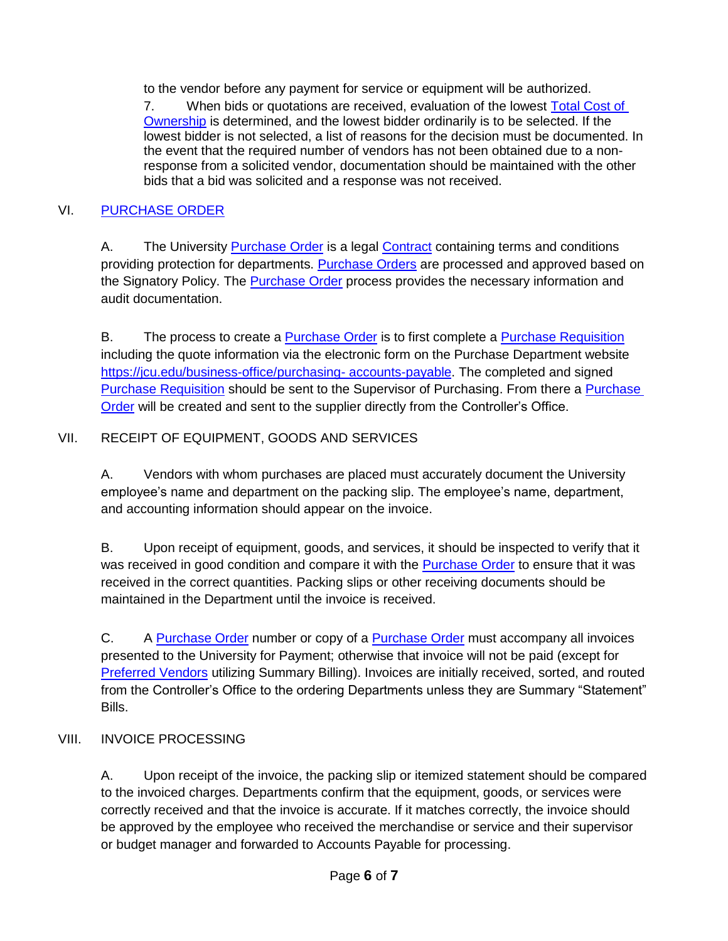to the vendor before any payment for service or equipment will be authorized.

7. When bids or quotations are received, evaluation of the lowest [Total Cost of](#page-0-0)  [Ownership](#page-0-0) is determined, and the lowest bidder ordinarily is to be selected. If the lowest bidder is not selected, a list of reasons for the decision must be documented. In the event that the required number of vendors has not been obtained due to a nonresponse from a solicited vendor, documentation should be maintained with the other bids that a bid was solicited and a response was not received.

## VI. [PURCHASE ORDER](#page-0-3)

A. The University [Purchase Order](#page-0-3) is a legal [Contract](#page-0-2) containing terms and conditions providing protection for departments. [Purchase Orders](#page-0-3) are processed and approved based on the Signatory Policy. The [Purchase Order](#page-0-3) process provides the necessary information and audit documentation.

B. The process to create a [Purchase Order](#page-0-3) is to first complete a [Purchase Requisition](#page-0-1) including the quote information via the electronic form on the Purchase Department website [https://jcu.edu/business-office/purchasing-](https://jcu.edu/business-office/purchasing-accounts-payable) [accounts-payable.](https://jcu.edu/business-office/purchasing-accounts-payable) The completed and signed [Purchase Requisition](#page-0-1) should be sent to the Supervisor of Purchasing. From there a [Purchase](#page-0-3)  [Order](#page-0-3) will be created and sent to the supplier directly from the Controller's Office.

## VII. RECEIPT OF EQUIPMENT, GOODS AND SERVICES

A. Vendors with whom purchases are placed must accurately document the University employee's name and department on the packing slip. The employee's name, department, and accounting information should appear on the invoice.

B. Upon receipt of equipment, goods, and services, it should be inspected to verify that it was received in good condition and compare it with the [Purchase Order](#page-0-3) to ensure that it was received in the correct quantities. Packing slips or other receiving documents should be maintained in the Department until the invoice is received.

C. A [Purchase Order](#page-0-3) number or copy of a Purchase Order must accompany all invoices presented to the University for Payment; otherwise that invoice will not be paid (except for [Preferred Vendors](#page-1-0) utilizing Summary Billing). Invoices are initially received, sorted, and routed from the Controller's Office to the ordering Departments unless they are Summary "Statement" Bills.

#### VIII. INVOICE PROCESSING

A. Upon receipt of the invoice, the packing slip or itemized statement should be compared to the invoiced charges. Departments confirm that the equipment, goods, or services were correctly received and that the invoice is accurate. If it matches correctly, the invoice should be approved by the employee who received the merchandise or service and their supervisor or budget manager and forwarded to Accounts Payable for processing.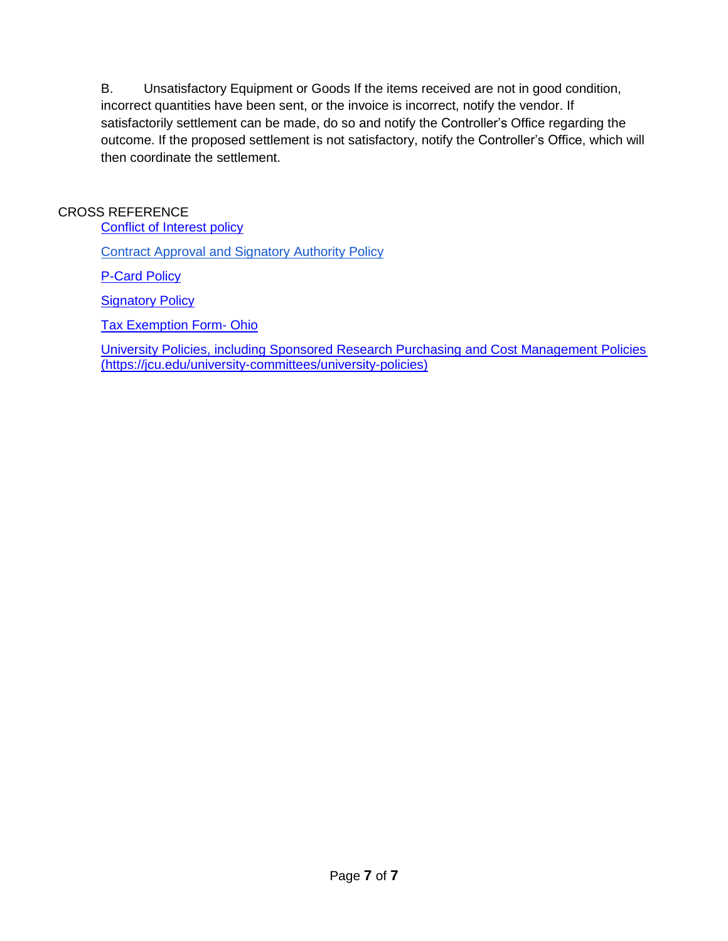B. Unsatisfactory Equipment or Goods If the items received are not in good condition, incorrect quantities have been sent, or the invoice is incorrect, notify the vendor. If satisfactorily settlement can be made, do so and notify the Controller's Office regarding the outcome. If the proposed settlement is not satisfactory, notify the Controller's Office, which will then coordinate the settlement.

## CROSS REFERENCE

[Conflict of Interest policy](http://webmedia.jcu.edu/hr/files/2018/11/I-6.5-Conflict-of-Interest-Policy_10_25_2018.pdf)

[Contract Approval and Signatory](http://webmedia.jcu.edu/hr/files/2018/10/II-4-Contract-Approval-Signatory_POST-final_v2.pdf) Authority Policy

[P-Card Policy](http://webmedia.jcu.edu/businessoffice/files/2015/09/jcu_pcard_policy_V1-050506.pdf)

[Signatory Policy](http://webmedia.jcu.edu/research/files/2018/06/Signatory-Policy_JCU.pdf)

[Tax Exemption Form-](https://jcu.edu/sites/default/files/2021-03/Ohio%20Tax%20Exempt%20Form%202020.pdf) Ohio

[University Policies, including Sponsored Research Purchasing and Cost Management Policies](https://jcu.edu/university-committees/university-policies) (https://jcu.edu/university-committees/university-policies)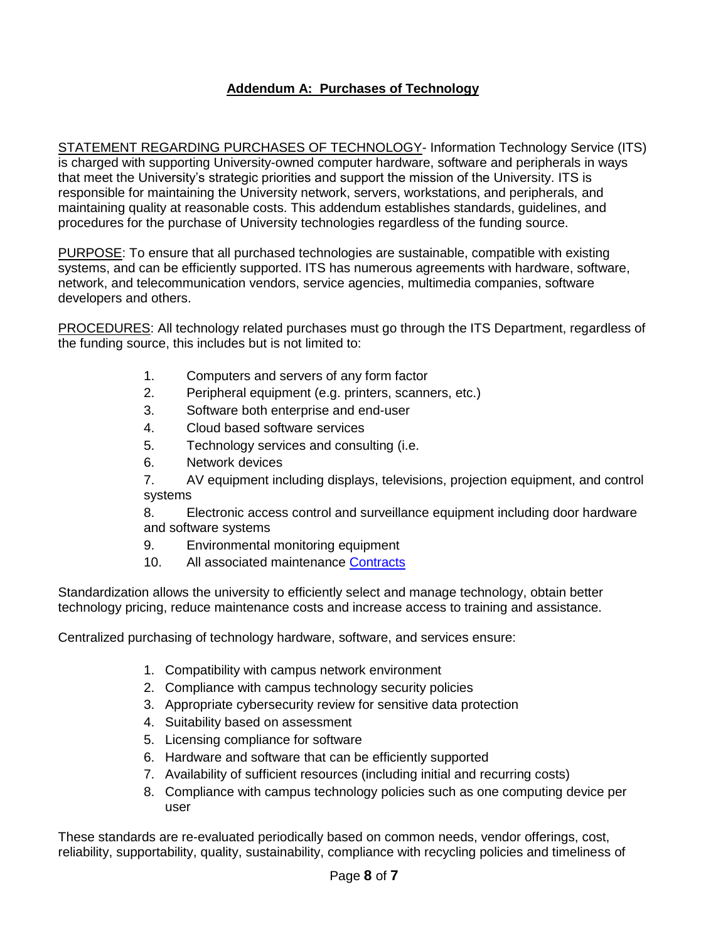## <span id="page-7-0"></span>**Addendum A: Purchases of Technology**

STATEMENT REGARDING PURCHASES OF TECHNOLOGY- Information Technology Service (ITS) is charged with supporting University-owned computer hardware, software and peripherals in ways that meet the University's strategic priorities and support the mission of the University. ITS is responsible for maintaining the University network, servers, workstations, and peripherals, and maintaining quality at reasonable costs. This addendum establishes standards, guidelines, and procedures for the purchase of University technologies regardless of the funding source.

PURPOSE: To ensure that all purchased technologies are sustainable, compatible with existing systems, and can be efficiently supported. ITS has numerous agreements with hardware, software, network, and telecommunication vendors, service agencies, multimedia companies, software developers and others.

PROCEDURES: All technology related purchases must go through the ITS Department, regardless of the funding source, this includes but is not limited to:

- 1. Computers and servers of any form factor
- 2. Peripheral equipment (e.g. printers, scanners, etc.)
- 3. Software both enterprise and end-user
- 4. Cloud based software services
- 5. Technology services and consulting (i.e.
- 6. Network devices

7. AV equipment including displays, televisions, projection equipment, and control systems

8. Electronic access control and surveillance equipment including door hardware and software systems

- 9. Environmental monitoring equipment
- 10. All associated maintenance [Contracts](#page-0-2)

Standardization allows the university to efficiently select and manage technology, obtain better technology pricing, reduce maintenance costs and increase access to training and assistance.

Centralized purchasing of technology hardware, software, and services ensure:

- 1. Compatibility with campus network environment
- 2. Compliance with campus technology security policies
- 3. Appropriate cybersecurity review for sensitive data protection
- 4. Suitability based on assessment
- 5. Licensing compliance for software
- 6. Hardware and software that can be efficiently supported
- 7. Availability of sufficient resources (including initial and recurring costs)
- 8. Compliance with campus technology policies such as one computing device per user

These standards are re-evaluated periodically based on common needs, vendor offerings, cost, reliability, supportability, quality, sustainability, compliance with recycling policies and timeliness of